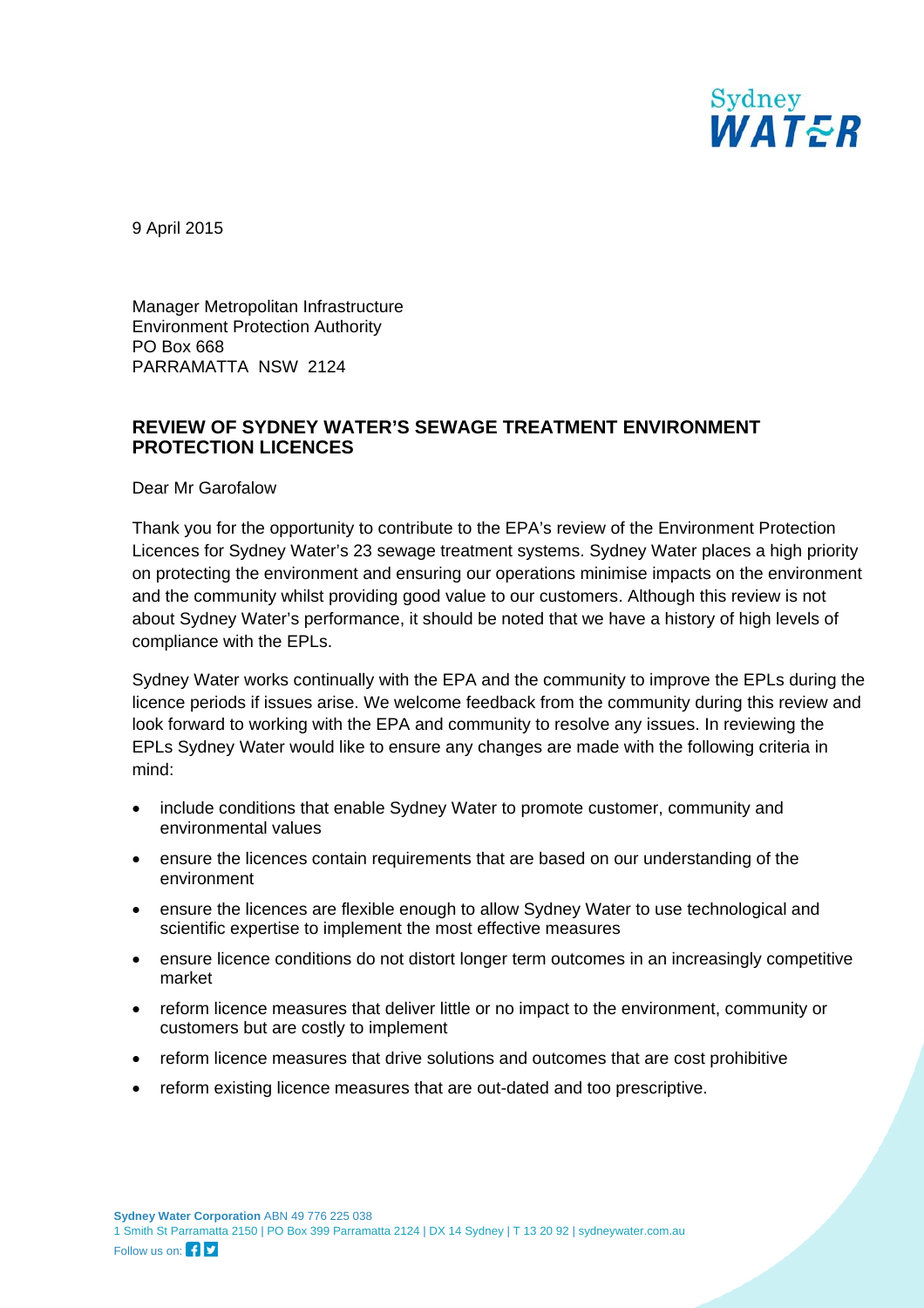Sydney WATER

9 April 2015

Manager Metropolitan Infrastructure Environment Protection Authority PO Box 668 PARRAMATTA NSW 2124

## **REVIEW OF SYDNEY WATER'S SEWAGE TREATMENT ENVIRONMENT PROTECTION LICENCES**

Dear Mr Garofalow

Thank you for the opportunity to contribute to the EPA's review of the Environment Protection Licences for Sydney Water's 23 sewage treatment systems. Sydney Water places a high priority on protecting the environment and ensuring our operations minimise impacts on the environment and the community whilst providing good value to our customers. Although this review is not about Sydney Water's performance, it should be noted that we have a history of high levels of compliance with the EPLs.

Sydney Water works continually with the EPA and the community to improve the EPLs during the licence periods if issues arise. We welcome feedback from the community during this review and look forward to working with the EPA and community to resolve any issues. In reviewing the EPLs Sydney Water would like to ensure any changes are made with the following criteria in mind:

- include conditions that enable Sydney Water to promote customer, community and environmental values
- ensure the licences contain requirements that are based on our understanding of the environment
- ensure the licences are flexible enough to allow Sydney Water to use technological and scientific expertise to implement the most effective measures
- ensure licence conditions do not distort longer term outcomes in an increasingly competitive market
- reform licence measures that deliver little or no impact to the environment, community or customers but are costly to implement
- reform licence measures that drive solutions and outcomes that are cost prohibitive
- reform existing licence measures that are out-dated and too prescriptive.